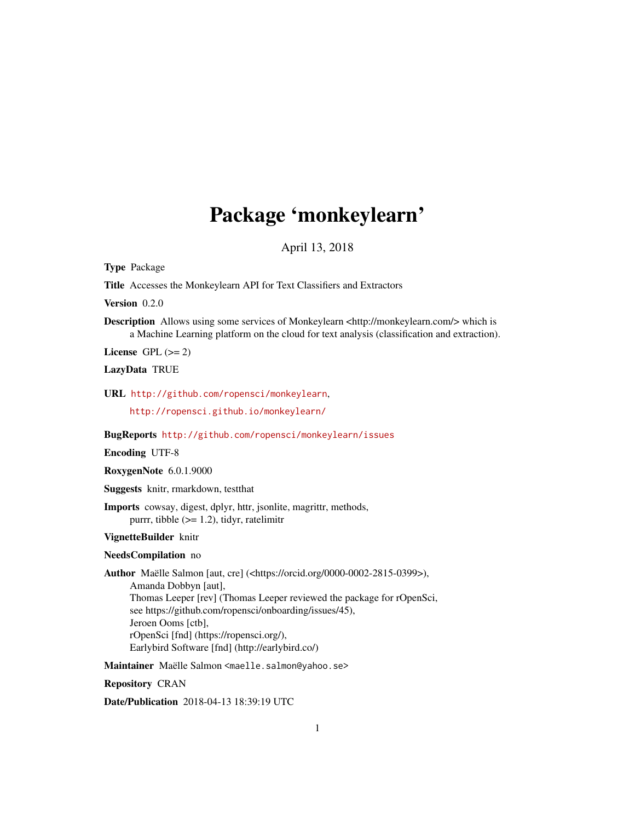# Package 'monkeylearn'

April 13, 2018

Type Package

Title Accesses the Monkeylearn API for Text Classifiers and Extractors

Version 0.2.0

Description Allows using some services of Monkeylearn <http://monkeylearn.com/> which is a Machine Learning platform on the cloud for text analysis (classification and extraction).

License GPL  $(>= 2)$ 

LazyData TRUE

URL <http://github.com/ropensci/monkeylearn>,

<http://ropensci.github.io/monkeylearn/>

BugReports <http://github.com/ropensci/monkeylearn/issues>

Encoding UTF-8

RoxygenNote 6.0.1.9000

Suggests knitr, rmarkdown, testthat

Imports cowsay, digest, dplyr, httr, jsonlite, magrittr, methods, purrr, tibble (>= 1.2), tidyr, ratelimitr

VignetteBuilder knitr

#### NeedsCompilation no

Author Maëlle Salmon [aut, cre] (<https://orcid.org/0000-0002-2815-0399>), Amanda Dobbyn [aut], Thomas Leeper [rev] (Thomas Leeper reviewed the package for rOpenSci, see https://github.com/ropensci/onboarding/issues/45), Jeroen Ooms [ctb], rOpenSci [fnd] (https://ropensci.org/), Earlybird Software [fnd] (http://earlybird.co/)

Maintainer Maëlle Salmon <maelle.salmon@yahoo.se>

Repository CRAN

Date/Publication 2018-04-13 18:39:19 UTC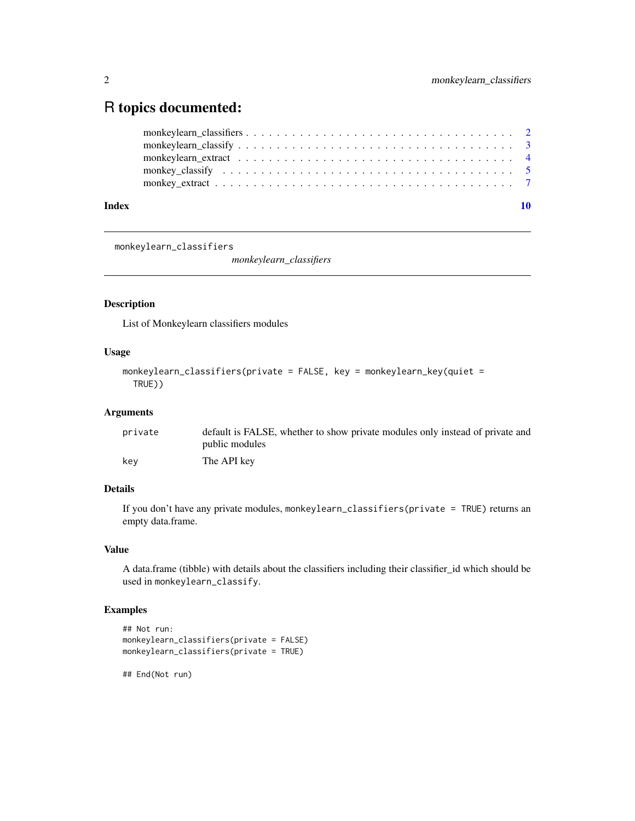# <span id="page-1-0"></span>R topics documented:

| Index |  |
|-------|--|

monkeylearn\_classifiers

*monkeylearn\_classifiers*

# Description

List of Monkeylearn classifiers modules

## Usage

```
monkeylearn_classifiers(private = FALSE, key = monkeylearn_key(quiet =
 TRUE))
```
# Arguments

| private | default is FALSE, whether to show private modules only instead of private and |
|---------|-------------------------------------------------------------------------------|
|         | public modules                                                                |
| kev     | The API key                                                                   |

# Details

If you don't have any private modules, monkeylearn\_classifiers(private = TRUE) returns an empty data.frame.

#### Value

A data.frame (tibble) with details about the classifiers including their classifier\_id which should be used in monkeylearn\_classify.

# Examples

```
## Not run:
monkeylearn_classifiers(private = FALSE)
monkeylearn_classifiers(private = TRUE)
```
## End(Not run)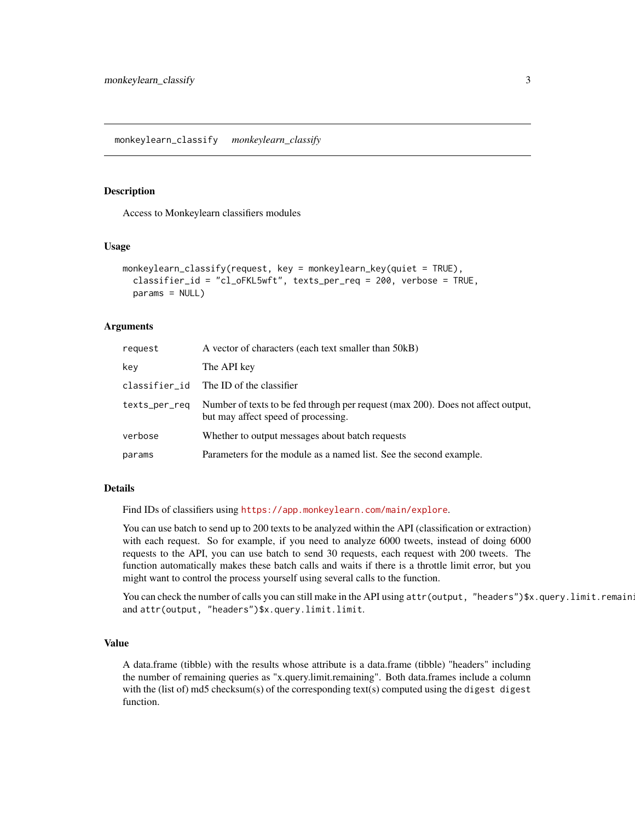#### <span id="page-2-0"></span>Description

Access to Monkeylearn classifiers modules

#### Usage

```
monkeylearn_classify(request, key = monkeylearn_key(quiet = TRUE),
 classifier_id = "cl_oFKL5wft", texts_per_req = 200, verbose = TRUE,
 params = NULL)
```
#### **Arguments**

| request       | A vector of characters (each text smaller than 50kB)                                                                    |
|---------------|-------------------------------------------------------------------------------------------------------------------------|
| key           | The API key                                                                                                             |
| classifier_id | The ID of the classifier                                                                                                |
| texts_per_req | Number of texts to be fed through per request (max 200). Does not affect output,<br>but may affect speed of processing. |
| verbose       | Whether to output messages about batch requests                                                                         |
| params        | Parameters for the module as a named list. See the second example.                                                      |

# Details

Find IDs of classifiers using <https://app.monkeylearn.com/main/explore>.

You can use batch to send up to 200 texts to be analyzed within the API (classification or extraction) with each request. So for example, if you need to analyze 6000 tweets, instead of doing 6000 requests to the API, you can use batch to send 30 requests, each request with 200 tweets. The function automatically makes these batch calls and waits if there is a throttle limit error, but you might want to control the process yourself using several calls to the function.

You can check the number of calls you can still make in the API using attr(output, "headers")\$x.query.limit.remain: and attr(output, "headers")\$x.query.limit.limit.

#### Value

A data.frame (tibble) with the results whose attribute is a data.frame (tibble) "headers" including the number of remaining queries as "x.query.limit.remaining". Both data.frames include a column with the (list of) md5 checksum(s) of the corresponding text(s) computed using the digest digest function.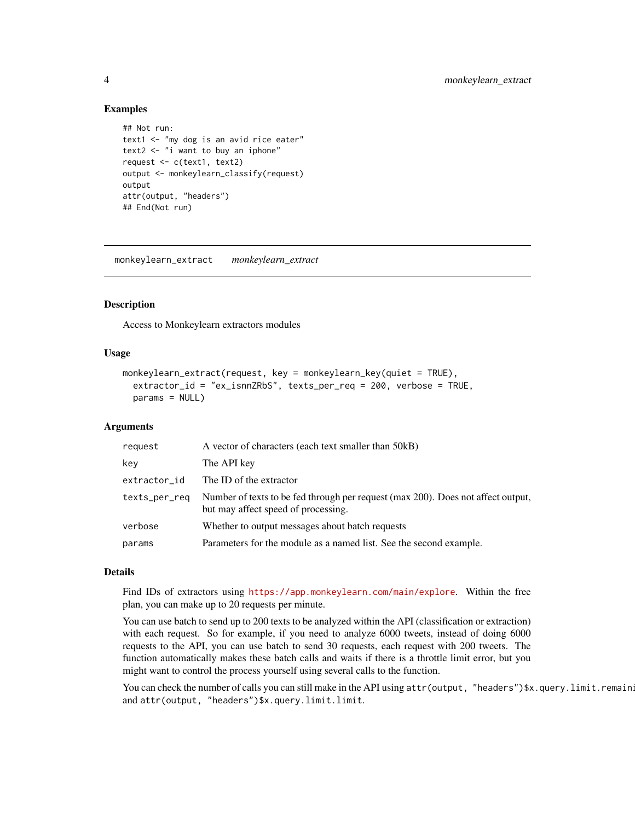#### Examples

```
## Not run:
text1 <- "my dog is an avid rice eater"
text2 \leq "i want to buy an iphone"
request <- c(text1, text2)
output <- monkeylearn_classify(request)
output
attr(output, "headers")
## End(Not run)
```
monkeylearn\_extract *monkeylearn\_extract*

#### Description

Access to Monkeylearn extractors modules

#### Usage

```
monkeylearn_extract(request, key = monkeylearn_key(quiet = TRUE),
  extractor_id = "ex_isnnZRbS", texts_per_req = 200, verbose = TRUE,
 params = NULL)
```
#### Arguments

| request       | A vector of characters (each text smaller than 50kB)                                                                    |
|---------------|-------------------------------------------------------------------------------------------------------------------------|
| key           | The API key                                                                                                             |
| extractor_id  | The ID of the extractor                                                                                                 |
| texts_per_req | Number of texts to be fed through per request (max 200). Does not affect output,<br>but may affect speed of processing. |
| verbose       | Whether to output messages about batch requests                                                                         |
| params        | Parameters for the module as a named list. See the second example.                                                      |

#### Details

Find IDs of extractors using <https://app.monkeylearn.com/main/explore>. Within the free plan, you can make up to 20 requests per minute.

You can use batch to send up to 200 texts to be analyzed within the API (classification or extraction) with each request. So for example, if you need to analyze 6000 tweets, instead of doing 6000 requests to the API, you can use batch to send 30 requests, each request with 200 tweets. The function automatically makes these batch calls and waits if there is a throttle limit error, but you might want to control the process yourself using several calls to the function.

You can check the number of calls you can still make in the API using attr(output, "headers")\$x.query.limit.remain: and attr(output, "headers")\$x.query.limit.limit.

<span id="page-3-0"></span>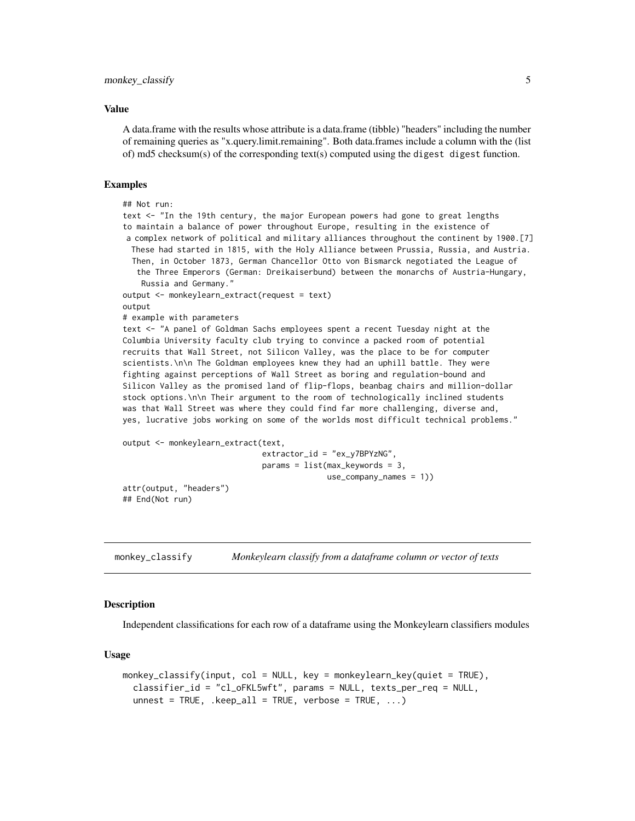#### <span id="page-4-0"></span>Value

A data.frame with the results whose attribute is a data.frame (tibble) "headers" including the number of remaining queries as "x.query.limit.remaining". Both data.frames include a column with the (list of) md5 checksum(s) of the corresponding text(s) computed using the digest digest function.

#### Examples

```
## Not run:
text <- "In the 19th century, the major European powers had gone to great lengths
to maintain a balance of power throughout Europe, resulting in the existence of
a complex network of political and military alliances throughout the continent by 1900.[7]
 These had started in 1815, with the Holy Alliance between Prussia, Russia, and Austria.
 Then, in October 1873, German Chancellor Otto von Bismarck negotiated the League of
   the Three Emperors (German: Dreikaiserbund) between the monarchs of Austria-Hungary,
   Russia and Germany."
output <- monkeylearn_extract(request = text)
output
# example with parameters
text <- "A panel of Goldman Sachs employees spent a recent Tuesday night at the
Columbia University faculty club trying to convince a packed room of potential
recruits that Wall Street, not Silicon Valley, was the place to be for computer
scientists.\n\n The Goldman employees knew they had an uphill battle. They were
fighting against perceptions of Wall Street as boring and regulation-bound and
Silicon Valley as the promised land of flip-flops, beanbag chairs and million-dollar
stock options.\n\n Their argument to the room of technologically inclined students
was that Wall Street was where they could find far more challenging, diverse and,
yes, lucrative jobs working on some of the worlds most difficult technical problems."
output <- monkeylearn_extract(text,
                              extractor_id = "ex_y7BPYzNG",
                              params = list(max_keywords = 3,
                                            use_company_names = 1))
attr(output, "headers")
## End(Not run)
```
monkey\_classify *Monkeylearn classify from a dataframe column or vector of texts*

#### Description

Independent classifications for each row of a dataframe using the Monkeylearn classifiers modules

#### Usage

```
monkey_classify(input, col = NULL, key = monkeylearn_key(quiet = TRUE),
  classifier_id = "cl_oFKL5wft", params = NULL, texts_per_req = NULL,
  unnest = TRUE, .keep_all = TRUE, verbose = TRUE, ...)
```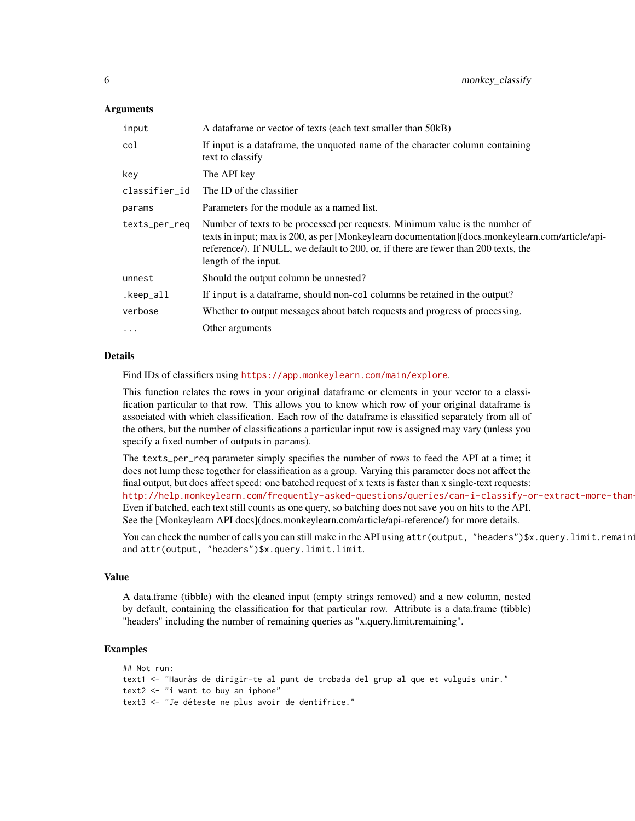#### Arguments

| input         | A data frame or vector of texts (each text smaller than 50kB)                                                                                                                                                                                                                                   |
|---------------|-------------------------------------------------------------------------------------------------------------------------------------------------------------------------------------------------------------------------------------------------------------------------------------------------|
| col           | If input is a dataframe, the unquoted name of the character column containing<br>text to classify                                                                                                                                                                                               |
| key           | The API key                                                                                                                                                                                                                                                                                     |
| classifier_id | The ID of the classifier                                                                                                                                                                                                                                                                        |
| params        | Parameters for the module as a named list.                                                                                                                                                                                                                                                      |
| texts_per_req | Number of texts to be processed per requests. Minimum value is the number of<br>texts in input; max is 200, as per [Monkeylearn documentation](docs.monkeylearn.com/article/api-<br>reference/). If NULL, we default to 200, or, if there are fewer than 200 texts, the<br>length of the input. |
| unnest        | Should the output column be unnested?                                                                                                                                                                                                                                                           |
| .keep_all     | If input is a data frame, should non-col columns be retained in the output?                                                                                                                                                                                                                     |
| verbose       | Whether to output messages about batch requests and progress of processing.                                                                                                                                                                                                                     |
| $\cdots$      | Other arguments                                                                                                                                                                                                                                                                                 |

#### Details

Find IDs of classifiers using <https://app.monkeylearn.com/main/explore>.

This function relates the rows in your original dataframe or elements in your vector to a classification particular to that row. This allows you to know which row of your original dataframe is associated with which classification. Each row of the dataframe is classified separately from all of the others, but the number of classifications a particular input row is assigned may vary (unless you specify a fixed number of outputs in params).

The texts\_per\_req parameter simply specifies the number of rows to feed the API at a time; it does not lump these together for classification as a group. Varying this parameter does not affect the final output, but does affect speed: one batched request of x texts is faster than x single-text requests: http://help.monkeylearn.com/frequently-asked-questions/queries/can-i-classify-or-extract-more-than Even if batched, each text still counts as one query, so batching does not save you on hits to the API. See the [Monkeylearn API docs](docs.monkeylearn.com/article/api-reference/) for more details.

You can check the number of calls you can still make in the API using attr(output, "headers")\$x.query.limit.remain: and attr(output, "headers")\$x.query.limit.limit.

#### Value

A data.frame (tibble) with the cleaned input (empty strings removed) and a new column, nested by default, containing the classification for that particular row. Attribute is a data.frame (tibble) "headers" including the number of remaining queries as "x.query.limit.remaining".

#### Examples

```
## Not run:
text1 <- "Hauràs de dirigir-te al punt de trobada del grup al que et vulguis unir."
text2 <- "i want to buy an iphone"
text3 <- "Je déteste ne plus avoir de dentifrice."
```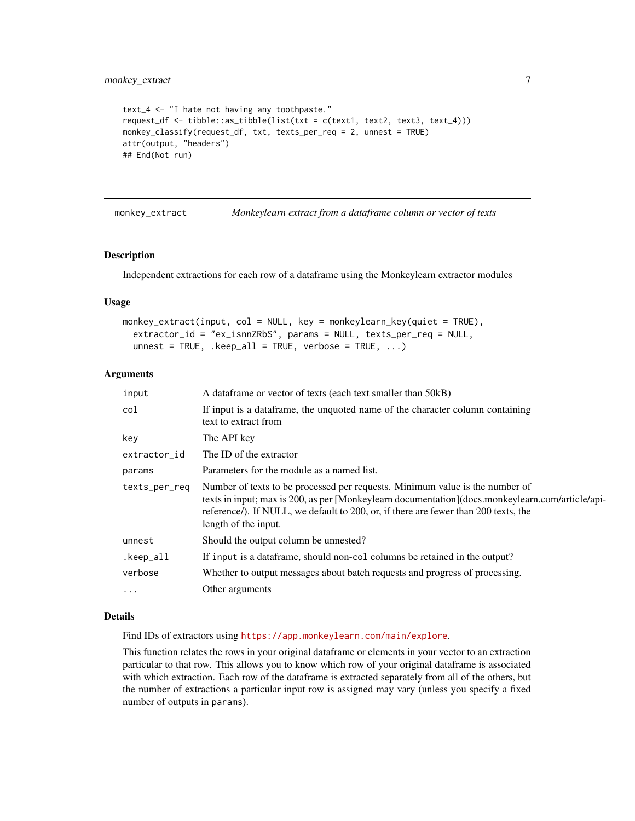```
text_4 <- "I hate not having any toothpaste."
request_df <- tibble::as_tibble(list(txt = c(text1, text2, text3, text_4)))
monkey_classify(request_df, txt, texts_per_req = 2, unnest = TRUE)
attr(output, "headers")
## End(Not run)
```
monkey\_extract *Monkeylearn extract from a dataframe column or vector of texts*

# Description

Independent extractions for each row of a dataframe using the Monkeylearn extractor modules

#### Usage

```
monkey_extract(input, col = NULL, key = monkeylearn_key(quiet = TRUE),
 extractor_id = "ex_isnnZRbS", params = NULL, texts_per_req = NULL,
  unnest = TRUE, .keep_all = TRUE, verbose = TRUE, ...)
```
#### Arguments

| input         | A dataframe or vector of texts (each text smaller than 50kB)                                                                                                                                                                                                                                    |
|---------------|-------------------------------------------------------------------------------------------------------------------------------------------------------------------------------------------------------------------------------------------------------------------------------------------------|
| col           | If input is a data frame, the unquoted name of the character column containing<br>text to extract from                                                                                                                                                                                          |
| key           | The API key                                                                                                                                                                                                                                                                                     |
| extractor_id  | The ID of the extractor                                                                                                                                                                                                                                                                         |
| params        | Parameters for the module as a named list.                                                                                                                                                                                                                                                      |
| texts_per_req | Number of texts to be processed per requests. Minimum value is the number of<br>texts in input; max is 200, as per [Monkeylearn documentation](docs.monkeylearn.com/article/api-<br>reference/). If NULL, we default to 200, or, if there are fewer than 200 texts, the<br>length of the input. |
| unnest        | Should the output column be unnested?                                                                                                                                                                                                                                                           |
| .keep_all     | If input is a data frame, should non-col columns be retained in the output?                                                                                                                                                                                                                     |
| verbose       | Whether to output messages about batch requests and progress of processing.                                                                                                                                                                                                                     |
| $\cdots$      | Other arguments                                                                                                                                                                                                                                                                                 |

#### Details

Find IDs of extractors using <https://app.monkeylearn.com/main/explore>.

This function relates the rows in your original dataframe or elements in your vector to an extraction particular to that row. This allows you to know which row of your original dataframe is associated with which extraction. Each row of the dataframe is extracted separately from all of the others, but the number of extractions a particular input row is assigned may vary (unless you specify a fixed number of outputs in params).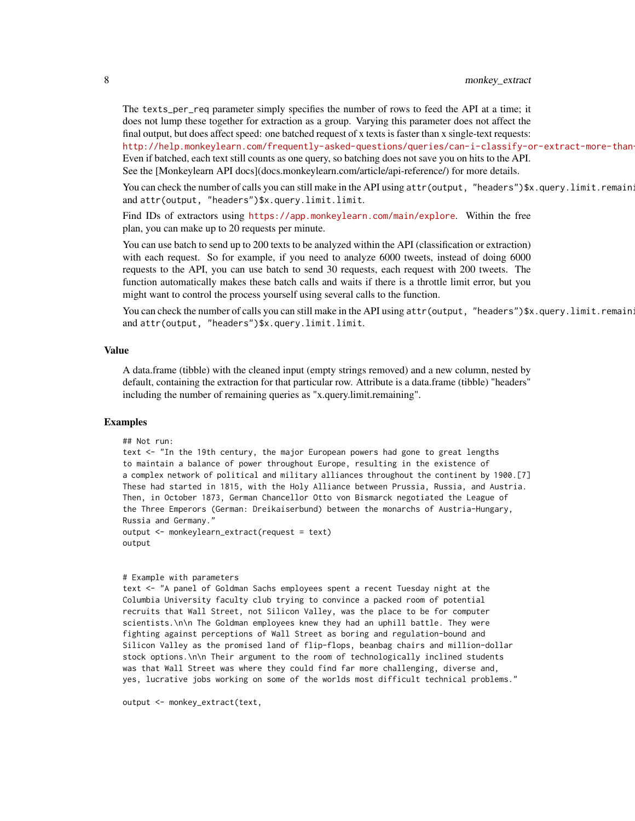The texts\_per\_req parameter simply specifies the number of rows to feed the API at a time; it does not lump these together for extraction as a group. Varying this parameter does not affect the final output, but does affect speed: one batched request of x texts is faster than x single-text requests: http://help.monkeylearn.com/frequently-asked-questions/queries/can-i-classify-or-extract-more-than-Even if batched, each text still counts as one query, so batching does not save you on hits to the API. See the [Monkeylearn API docs](docs.monkeylearn.com/article/api-reference/) for more details.

You can check the number of calls you can still make in the API using attr(output, "headers")\$x.query.limit.remain: and attr(output, "headers")\$x.query.limit.limit.

Find IDs of extractors using <https://app.monkeylearn.com/main/explore>. Within the free plan, you can make up to 20 requests per minute.

You can use batch to send up to 200 texts to be analyzed within the API (classification or extraction) with each request. So for example, if you need to analyze 6000 tweets, instead of doing 6000 requests to the API, you can use batch to send 30 requests, each request with 200 tweets. The function automatically makes these batch calls and waits if there is a throttle limit error, but you might want to control the process yourself using several calls to the function.

You can check the number of calls you can still make in the API using attr(output, "headers")\$x.query.limit.remain: and attr(output, "headers")\$x.query.limit.limit.

#### Value

A data.frame (tibble) with the cleaned input (empty strings removed) and a new column, nested by default, containing the extraction for that particular row. Attribute is a data.frame (tibble) "headers" including the number of remaining queries as "x.query.limit.remaining".

#### Examples

```
## Not run:
```
text <- "In the 19th century, the major European powers had gone to great lengths to maintain a balance of power throughout Europe, resulting in the existence of a complex network of political and military alliances throughout the continent by 1900.[7] These had started in 1815, with the Holy Alliance between Prussia, Russia, and Austria. Then, in October 1873, German Chancellor Otto von Bismarck negotiated the League of the Three Emperors (German: Dreikaiserbund) between the monarchs of Austria-Hungary, Russia and Germany."

output <- monkeylearn\_extract(request = text) output

#### # Example with parameters

text <- "A panel of Goldman Sachs employees spent a recent Tuesday night at the Columbia University faculty club trying to convince a packed room of potential recruits that Wall Street, not Silicon Valley, was the place to be for computer scientists.\n\n The Goldman employees knew they had an uphill battle. They were fighting against perceptions of Wall Street as boring and regulation-bound and Silicon Valley as the promised land of flip-flops, beanbag chairs and million-dollar stock options.\n\n Their argument to the room of technologically inclined students was that Wall Street was where they could find far more challenging, diverse and, yes, lucrative jobs working on some of the worlds most difficult technical problems."

output <- monkey\_extract(text,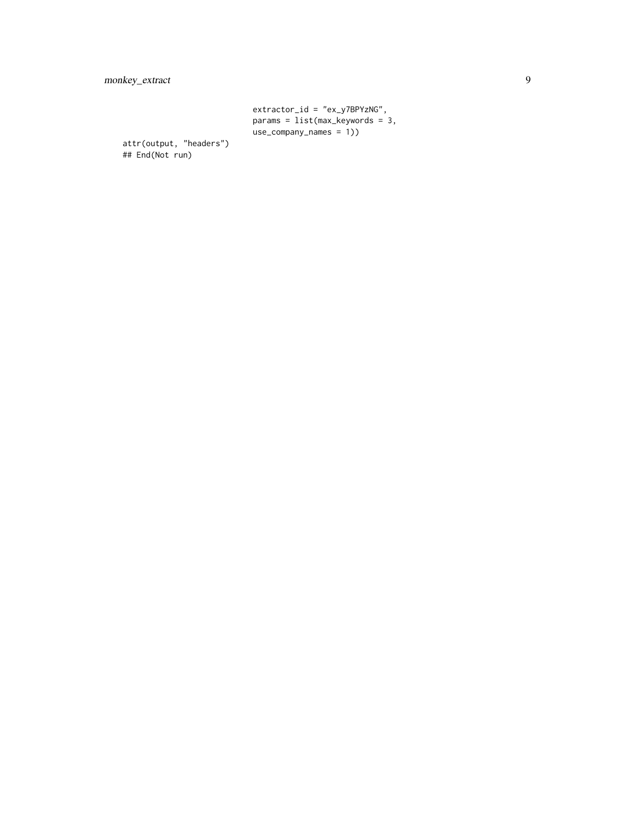```
extractor_id = "ex_y7BPYzNG",
params = list(max_keywords = 3,
use_company_names = 1))
```
attr(output, "headers") ## End(Not run)